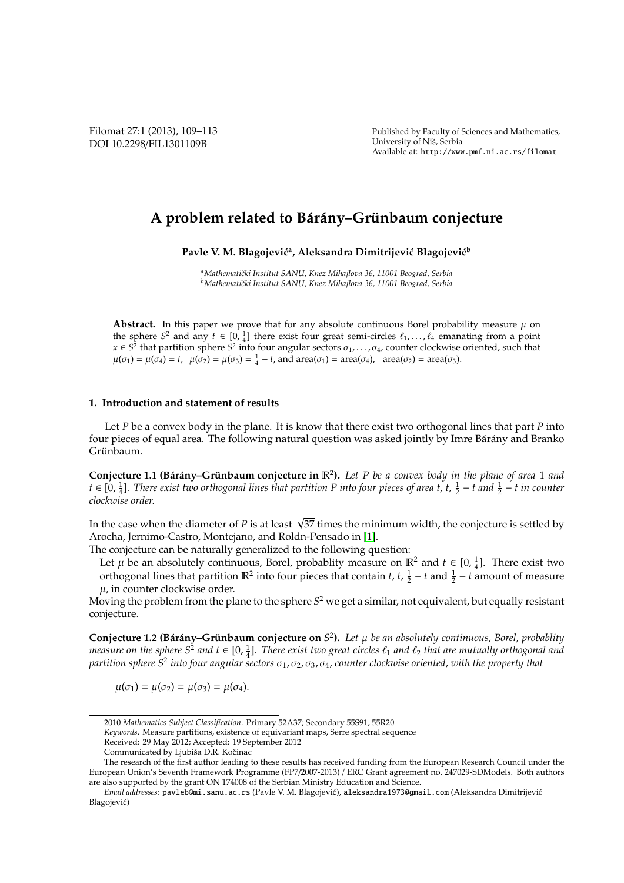Published by Faculty of Sciences and Mathematics, University of Nis, Serbia ˇ Available at: http://www.pmf.ni.ac.rs/filomat

# A problem related to Bárány–Grünbaum conjecture

Pavle V. M. Blagojević<sup>a</sup>, Aleksandra Dimitrijević Blagojević<sup>b</sup>

*<sup>a</sup>Mathematiˇcki Institut SANU, Knez Mihajlova 36, 11001 Beograd, Serbia <sup>b</sup>Mathematiˇcki Institut SANU, Knez Mihajlova 36, 11001 Beograd, Serbia*

**Abstract.** In this paper we prove that for any absolute continuous Borel probability measure  $\mu$  on the sphere  $S^2$  and any  $t \in [0, \frac{1}{4}]$  there exist four great semi-circles  $\ell_1, \ldots, \ell_4$  emanating from a point  $x \in S^2$  that partition sphere  $S^2$  into four angular sectors  $\sigma_1, \ldots, \sigma_4$ , counter clockwise oriented, such that  $\mu(\sigma_1) = \mu(\sigma_4) = t$ ,  $\mu(\sigma_2) = \mu(\sigma_3) = \frac{1}{4} - t$ , and  $area(\sigma_1) = area(\sigma_4)$ ,  $area(\sigma_2) = area(\sigma_3)$ .

#### **1. Introduction and statement of results**

Let *P* be a convex body in the plane. It is know that there exist two orthogonal lines that part *P* into four pieces of equal area. The following natural question was asked jointly by Imre Bárány and Branko Grünbaum.

**Conjecture 1.1 (Bárány–Grünbaum conjecture in**  $\mathbb{R}^2$ **).** Let P be a convex body in the plane of area 1 and *t* ∈ [0,  $\frac{1}{4}$ ]. There exist two orthogonal lines that partition P into four pieces of area t, t,  $\frac{1}{2}$  – t and  $\frac{1}{2}$  – t in counter *clockwise order.*

In the case when the diameter of *P* is at least  $\sqrt{37}$  times the minimum width, the conjecture is settled by Arocha, Jernimo-Castro, Montejano, and Roldn-Pensado in [\[1\]](#page-4-0).

The conjecture can be naturally generalized to the following question:

Let  $\mu$  be an absolutely continuous, Borel, probablity measure on  $\mathbb{R}^2$  and  $t \in [0, \frac{1}{4}]$ . There exist two orthogonal lines that partition  $\mathbb{R}^2$  into four pieces that contain *t*, *t*,  $\frac{1}{2} - t$  and  $\frac{1}{2} - t$  amount of measure  $\mu$ , in counter clockwise order.

Moving the problem from the plane to the sphere *S* <sup>2</sup> we get a similar, not equivalent, but equally resistant conjecture.

**Conjecture 1.2 (Bárány–Grünbaum conjecture on**  $S^2$ ). Let  $\mu$  be an absolutely continuous, Borel, probablity *measure on the sphere S<sup>2</sup> and t*  $\in$  [0,  $\frac{1}{4}$ ]. *There exist two great circles*  $\ell_1$  *and*  $\ell_2$  *that are mutually orthogonal and partition sphere S*<sup>2</sup> *into four angular sectors* σ1, σ2, σ3, σ4*, counter clockwise oriented, with the property that*

$$
\mu(\sigma_1) = \mu(\sigma_2) = \mu(\sigma_3) = \mu(\sigma_4).
$$

<sup>2010</sup> *Mathematics Subject Classification*. Primary 52A37; Secondary 55S91, 55R20

*Keywords*. Measure partitions, existence of equivariant maps, Serre spectral sequence

Received: 29 May 2012; Accepted: 19 September 2012

Communicated by Ljubiša D.R. Kočinac

The research of the first author leading to these results has received funding from the European Research Council under the European Union's Seventh Framework Programme (FP7/2007-2013) / ERC Grant agreement no. 247029-SDModels. Both authors are also supported by the grant ON 174008 of the Serbian Ministry Education and Science.

*Email addresses:* pavleb@mi.sanu.ac.rs (Pavle V. M. Blagojević), aleksandra1973@gmail.com (Aleksandra Dimitrijević Blagojevic)´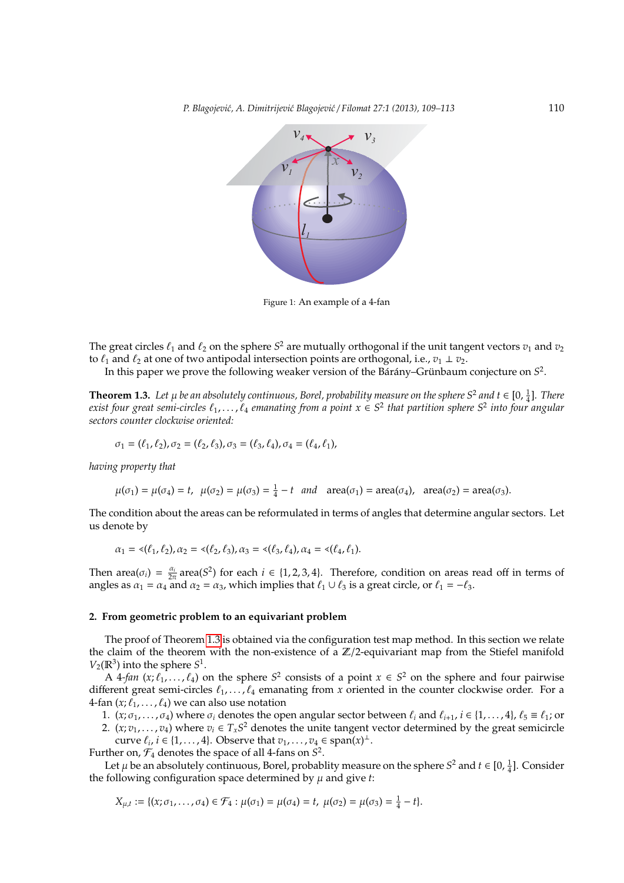

Figure 1: An example of a 4-fan

The great circles  $\ell_1$  and  $\ell_2$  on the sphere  $S^2$  are mutually orthogonal if the unit tangent vectors  $v_1$  and  $v_2$ to  $\ell_1$  and  $\ell_2$  at one of two antipodal intersection points are orthogonal, i.e.,  $v_1 \perp v_2$ .

In this paper we prove the following weaker version of the Bárány–Grünbaum conjecture on  $S^2$ .

<span id="page-1-0"></span>**Theorem 1.3.** Let  $\mu$  be an absolutely continuous, Borel, probability measure on the sphere S<sup>2</sup> and t  $\in$  [0,  $\frac{1}{4}$ ]. There **exist four great semi-circles**  $\ell_1, \ldots, \ell_4$  emanating from a point  $x \in S^2$  that partition sphere  $S^2$  into four angular *sectors counter clockwise oriented:*

$$
\sigma_1 = (\ell_1, \ell_2), \sigma_2 = (\ell_2, \ell_3), \sigma_3 = (\ell_3, \ell_4), \sigma_4 = (\ell_4, \ell_1),
$$

*having property that*

$$
\mu(\sigma_1) = \mu(\sigma_4) = t, \ \mu(\sigma_2) = \mu(\sigma_3) = \frac{1}{4} - t \ \text{and} \ \ \text{area}(\sigma_1) = \text{area}(\sigma_4), \ \ \text{area}(\sigma_2) = \text{area}(\sigma_3).
$$

The condition about the areas can be reformulated in terms of angles that determine angular sectors. Let us denote by

$$
\alpha_1 = \langle (\ell_1, \ell_2), \alpha_2 = \langle (\ell_2, \ell_3), \alpha_3 = \langle (\ell_3, \ell_4), \alpha_4 = \langle (\ell_4, \ell_1), \alpha_5 \rangle \rangle
$$

Then area $(\sigma_i) = \frac{\alpha_i}{2\pi}$  area( $S^2$ ) for each  $i \in \{1, 2, 3, 4\}$ . Therefore, condition on areas read off in terms of angles as  $\alpha_1 = \alpha_4$  and  $\alpha_2 = \alpha_3$ , which implies that  $\ell_1 \cup \ell_3$  is a great circle, or  $\ell_1 = -\ell_3$ .

#### <span id="page-1-1"></span>**2. From geometric problem to an equivariant problem**

The proof of Theorem [1.3](#page-1-0) is obtained via the configuration test map method. In this section we relate the claim of the theorem with the non-existence of a  $\mathbb{Z}/2$ -equivariant map from the Stiefel manifold  $V_2(\mathbb{R}^3)$  into the sphere  $S^1$ .

A 4-fan  $(x; \ell_1, ..., \ell_4)$  on the sphere  $S^2$  consists of a point  $x \in S^2$  on the sphere and four pairwise different great semi-circles  $\ell_1, \ldots, \ell_4$  emanating from *x* oriented in the counter clockwise order. For a 4-fan  $(x; \ell_1, \ldots, \ell_4)$  we can also use notation

1.  $(x; \sigma_1, \ldots, \sigma_4)$  where  $\sigma_i$  denotes the open angular sector between  $\ell_i$  and  $\ell_{i+1}$ ,  $i \in \{1, \ldots, 4\}$ ,  $\ell_5 \equiv \ell_1$ ; or

2.  $(x; v_1, \ldots, v_4)$  where  $v_i \in T_x S^2$  denotes the unite tangent vector determined by the great semicircle curve  $\ell_i$ ,  $i \in \{1, \ldots, 4\}$ . Observe that  $v_1, \ldots, v_4 \in \text{span}(x)^{\perp}$ .

Further on,  $\mathcal{F}_4$  denotes the space of all 4-fans on  $S^2$ .

Let  $\mu$  be an absolutely continuous, Borel, probablity measure on the sphere  $S^2$  and  $t \in [0, \frac{1}{4}]$ . Consider the following configuration space determined by  $\mu$  and give  $t$ :

$$
X_{\mu,t} := \{ (x; \sigma_1, \ldots, \sigma_4) \in \mathcal{F}_4 : \mu(\sigma_1) = \mu(\sigma_4) = t, \ \mu(\sigma_2) = \mu(\sigma_3) = \frac{1}{4} - t \}.
$$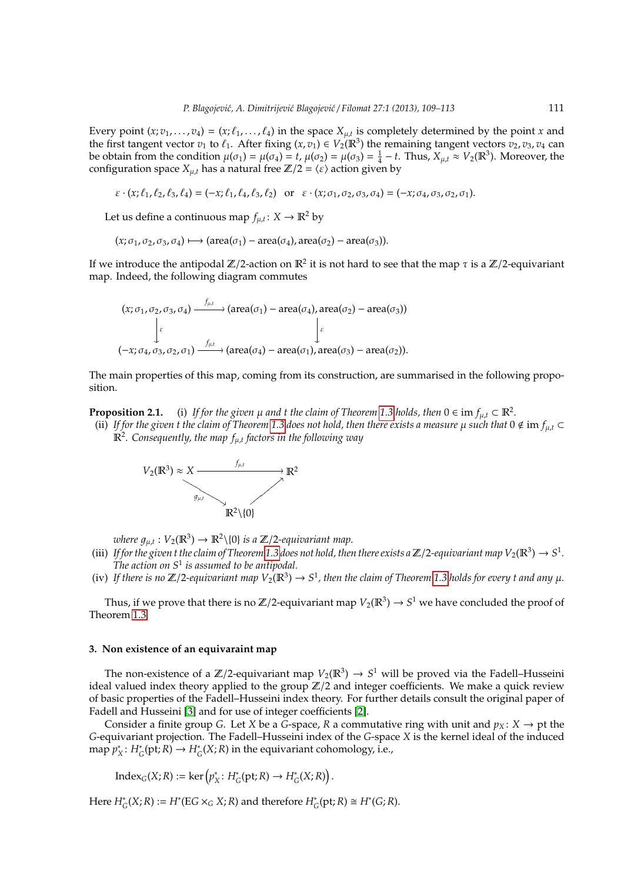Every point  $(x; v_1, \ldots, v_4) = (x; \ell_1, \ldots, \ell_4)$  in the space  $X_{\mu,t}$  is completely determined by the point *x* and the first tangent vector  $v_1$  to  $\ell_1$ . After fixing  $(x, v_1) \in V_2(\mathbb{R}^3)$  the remaining tangent vectors  $v_2, v_3, v_4$  can be obtain from the condition  $\mu(\sigma_1) = \mu(\sigma_4) = t$ ,  $\mu(\sigma_2) = \mu(\sigma_3) = \frac{1}{4} - t$ . Thus,  $X_{\mu,t} \approx V_2(\mathbb{R}^3)$ . Moreover, the configuration space  $X_{\mu,t}$  has a natural free  $\mathbb{Z}/2 = \langle \varepsilon \rangle$  action given by

$$
\varepsilon \cdot (x; \ell_1, \ell_2, \ell_3, \ell_4) = (-x; \ell_1, \ell_4, \ell_3, \ell_2) \text{ or } \varepsilon \cdot (x; \sigma_1, \sigma_2, \sigma_3, \sigma_4) = (-x; \sigma_4, \sigma_3, \sigma_2, \sigma_1).
$$

Let us define a continuous map  $f_{\mu,t}: X \to \mathbb{R}^2$  by

 $(x; \sigma_1, \sigma_2, \sigma_3, \sigma_4) \mapsto (area(\sigma_1) - area(\sigma_4), area(\sigma_2) - area(\sigma_3)).$ 

If we introduce the antipodal Z/2-action on  $\mathbb{R}^2$  it is not hard to see that the map  $\tau$  is a Z/2-equivariant map. Indeed, the following diagram commutes

$$
(x; \sigma_1, \sigma_2, \sigma_3, \sigma_4) \xrightarrow{f_{\mu,t}} (\text{area}(\sigma_1) - \text{area}(\sigma_4), \text{area}(\sigma_2) - \text{area}(\sigma_3))
$$
\n
$$
\downarrow \varepsilon
$$
\n
$$
(-x; \sigma_4, \sigma_3, \sigma_2, \sigma_1) \xrightarrow{f_{\mu,t}} (\text{area}(\sigma_4) - \text{area}(\sigma_1), \text{area}(\sigma_3) - \text{area}(\sigma_2)).
$$

The main properties of this map, coming from its construction, are summarised in the following proposition.

<span id="page-2-0"></span>**Proposition 2.1.** (i) If for the given  $\mu$  and t the claim of Theorem [1.3](#page-1-0) holds, then  $0 \in \text{im } f_{\mu,t} \subset \mathbb{R}^2$ .

(ii) If for the given t the claim of Theorem [1.3](#page-1-0) does not hold, then there exists a measure  $\mu$  such that  $0 \notin \text{im } f_{\mu,t} \subset$ R2 *. Consequently, the map f*µ,*<sup>t</sup> factors in the following way*



where  $g_{\mu,t}: V_2(\mathbb{R}^3) \to \mathbb{R}^2 \setminus \{0\}$  *is a*  $\mathbb{Z}/2$ -equivariant map.

- (iii) If for the given t the claim of Theorem [1.3](#page-1-0) does not hold, then there exists a  $\mathbb{Z}/2$ -equivariant map  $V_2(\mathbb{R}^3) \to S^1$ . *The action on S*<sup>1</sup> *is assumed to be antipodal.*
- (iv) If there is no  $\mathbb{Z}/2$ -equivariant map  $V_2(\mathbb{R}^3)\to S^1$ , then the claim of Theorem [1.3](#page-1-0) holds for every t and any  $\mu$ .

Thus, if we prove that there is no Z/2-equivariant map  $V_2(\mathbb{R}^3) \to S^1$  we have concluded the proof of Theorem [1.3.](#page-1-0)

## **3. Non existence of an equivaraint map**

The non-existence of a  $\mathbb{Z}/2$ -equivariant map  $V_2(\mathbb{R}^3) \to S^1$  will be proved via the Fadell–Husseini ideal valued index theory applied to the group  $\mathbb{Z}/2$  and integer coefficients. We make a quick review of basic properties of the Fadell–Husseini index theory. For further details consult the original paper of Fadell and Husseini [\[3\]](#page-4-1) and for use of integer coefficients [\[2\]](#page-4-2).

Consider a finite group *G*. Let *X* be a *G*-space, *R* a commutative ring with unit and  $p_X$ :  $X \rightarrow pt$  the *G*-equivariant projection. The Fadell–Husseini index of the *G*-space *X* is the kernel ideal of the induced map *p* ∗  $X^*$ :  $H^*_G(\text{pt}; R) \to H^*_G(X; R)$  in the equivariant cohomology, i.e.,

 $\text{Index}_G(X; R) := \ker (p_2^*)$ *X* : *H* ∗  $G^*(pt;R) \to H^*_0$  $C_G^*(X;R)$ .

Here  $H^*_G(X; R) := H^*(EG \times_G X; R)$  and therefore  $H^*_G(\text{pt}; R) \cong H^*(G; R)$ .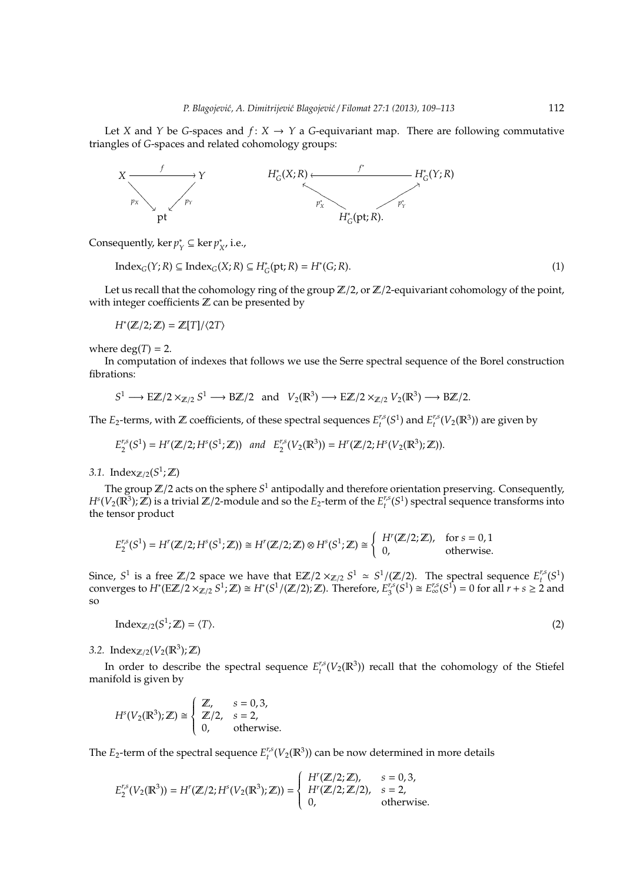Let *X* and *Y* be *G*-spaces and  $f: X \rightarrow Y$  a *G*-equivariant map. There are following commutative triangles of *G*-spaces and related cohomology groups:



Consequently, ker *p* ∗ *Y* ⊆ ker *p* ∗  $_{X'}^*$  i.e.,

> <span id="page-3-0"></span> $Index_G(Y; R) ⊆ Index_G(X; R) ⊆ H^*$  $G^*(pt;R) = H^*(G;R).$  (1)

Let us recall that the cohomology ring of the group  $\mathbb{Z}/2$ , or  $\mathbb{Z}/2$ -equivariant cohomology of the point, with integer coefficients  $\mathbb Z$  can be presented by

 $H^*(\mathbb{Z}/2;\mathbb{Z}) = \mathbb{Z}[T]/\langle 2T \rangle$ 

where  $deg(T) = 2$ .

In computation of indexes that follows we use the Serre spectral sequence of the Borel construction fibrations:

$$
S^1 \longrightarrow E\mathbb{Z}/2 \times_{\mathbb{Z}/2} S^1 \longrightarrow B\mathbb{Z}/2
$$
 and  $V_2(\mathbb{R}^3) \longrightarrow E\mathbb{Z}/2 \times_{\mathbb{Z}/2} V_2(\mathbb{R}^3) \longrightarrow B\mathbb{Z}/2$ .

The  $E_2$ -terms, with  $\mathbb Z$  coefficients, of these spectral sequences  $E_t^{r,s}(S^1)$  and  $E_t^{r,s}(V_2(\mathbb R^3))$  are given by

$$
E_2^{r,s}(S^1) = H^r(\mathbb{Z}/2; H^s(S^1;\mathbb{Z})) \text{ and } E_2^{r,s}(V_2(\mathbb{R}^3)) = H^r(\mathbb{Z}/2; H^s(V_2(\mathbb{R}^3);\mathbb{Z})).
$$

3.1. Index<sub> $\mathbb{Z}/2$ </sub> $(S^1; \mathbb{Z})$ 

The group  $\mathbb{Z}/2$  acts on the sphere  $S^1$  antipodally and therefore orientation preserving. Consequently,  $H^s(V_2(\mathbb{R}^3); \mathbb{Z})$  is a trivial  $\mathbb{Z}/2$ -module and so the  $E_2$ -term of the  $E_t^{r,s}(S^1)$  spectral sequence transforms into the tensor product

$$
E_2^{r,s}(S^1) = H^r(\mathbb{Z}/2; H^s(S^1; \mathbb{Z})) \cong H^r(\mathbb{Z}/2; \mathbb{Z}) \otimes H^s(S^1; \mathbb{Z}) \cong \begin{cases} H^r(\mathbb{Z}/2; \mathbb{Z}), & \text{for } s = 0, 1 \\ 0, & \text{otherwise.} \end{cases}
$$

<span id="page-3-1"></span>Since,  $S^1$  is a free  $\mathbb{Z}/2$  space we have that  $E\mathbb{Z}/2 \times_{\mathbb{Z}/2} S^1 \simeq S^1/(\mathbb{Z}/2)$ . The spectral sequence  $E_t^{r,s}(S^1)$ converges to  $H^*(E\mathbb{Z}/2 \times_{\mathbb{Z}/2}^{\mathbb{Z}} S^1; \mathbb{Z}) \cong H^*(S^1/(\mathbb{Z}/2); \mathbb{Z})$ . Therefore,  $E_3^{r,s}$  $T_3^{r,s}(S^1) \cong E_{\infty}^{r,s}(S^1) = 0$  for all *r* + *s* ≥ 2 and so

Index<sub>Z/2</sub>( $S^1$  $\mathcal{L}(\mathbb{Z}) = \langle T \rangle.$  (2)

3.2. Index<sub> $\mathbb{Z}/2(V_2(\mathbb{R}^3); \mathbb{Z})$ </sub>

In order to describe the spectral sequence  $E_t^{r,s}(V_2(\mathbb{R}^3))$  recall that the cohomology of the Stiefel manifold is given by

$$
Hs(V2(\mathbb{R}3); \mathbb{Z}) \cong \begin{cases} \mathbb{Z}, & s = 0, 3, \\ \mathbb{Z}/2, & s = 2, \\ 0, & \text{otherwise.} \end{cases}
$$

The  $E_2$ -term of the spectral sequence  $E_t^{r,s}(V_2(\mathbb{R}^3))$  can be now determined in more details

$$
E_2^{r,s}(V_2(\mathbb{R}^3)) = H^r(\mathbb{Z}/2; H^s(V_2(\mathbb{R}^3); \mathbb{Z})) = \begin{cases} H^r(\mathbb{Z}/2; \mathbb{Z}), & s = 0, 3, \\ H^r(\mathbb{Z}/2; \mathbb{Z}/2), & s = 2, \\ 0, & \text{otherwise.} \end{cases}
$$